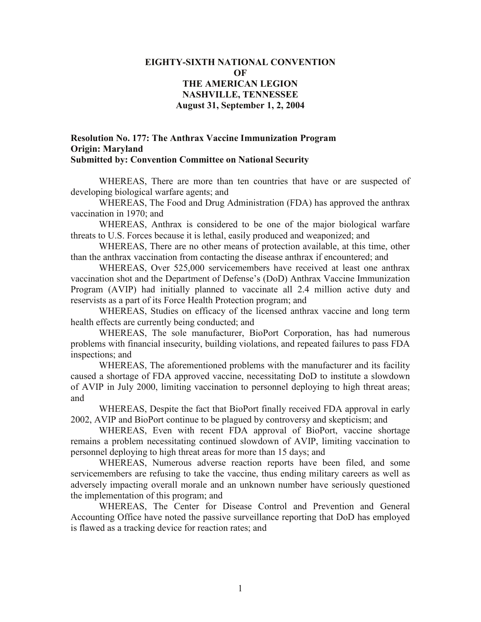## **EIGHTY-SIXTH NATIONAL CONVENTION OF THE AMERICAN LEGION NASHVILLE, TENNESSEE August 31, September 1, 2, 2004**

## **Resolution No. 177: The Anthrax Vaccine Immunization Program Origin: Maryland Submitted by: Convention Committee on National Security**

WHEREAS, There are more than ten countries that have or are suspected of developing biological warfare agents; and

WHEREAS, The Food and Drug Administration (FDA) has approved the anthrax vaccination in 1970; and

WHEREAS, Anthrax is considered to be one of the major biological warfare threats to U.S. Forces because it is lethal, easily produced and weaponized; and

WHEREAS, There are no other means of protection available, at this time, other than the anthrax vaccination from contacting the disease anthrax if encountered; and

WHEREAS, Over 525,000 servicemembers have received at least one anthrax vaccination shot and the Department of Defense's (DoD) Anthrax Vaccine Immunization Program (AVIP) had initially planned to vaccinate all 2.4 million active duty and reservists as a part of its Force Health Protection program; and

WHEREAS, Studies on efficacy of the licensed anthrax vaccine and long term health effects are currently being conducted; and

WHEREAS, The sole manufacturer, BioPort Corporation, has had numerous problems with financial insecurity, building violations, and repeated failures to pass FDA inspections; and

WHEREAS, The aforementioned problems with the manufacturer and its facility caused a shortage of FDA approved vaccine, necessitating DoD to institute a slowdown of AVIP in July 2000, limiting vaccination to personnel deploying to high threat areas; and

WHEREAS, Despite the fact that BioPort finally received FDA approval in early 2002, AVIP and BioPort continue to be plagued by controversy and skepticism; and

WHEREAS, Even with recent FDA approval of BioPort, vaccine shortage remains a problem necessitating continued slowdown of AVIP, limiting vaccination to personnel deploying to high threat areas for more than 15 days; and

WHEREAS, Numerous adverse reaction reports have been filed, and some servicemembers are refusing to take the vaccine, thus ending military careers as well as adversely impacting overall morale and an unknown number have seriously questioned the implementation of this program; and

WHEREAS, The Center for Disease Control and Prevention and General Accounting Office have noted the passive surveillance reporting that DoD has employed is flawed as a tracking device for reaction rates; and